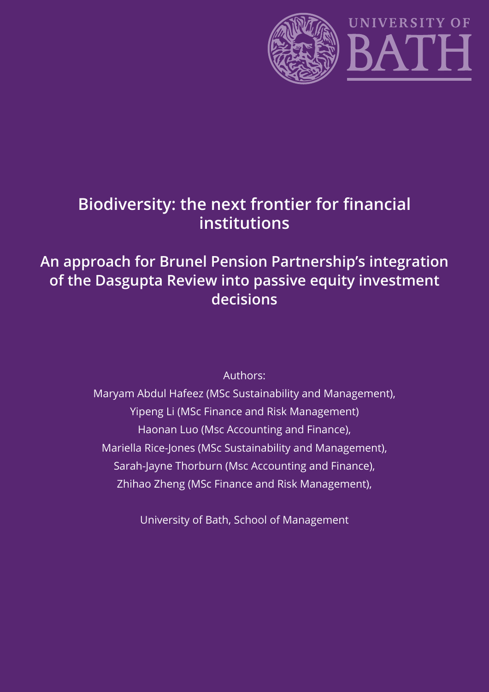

# **Biodiversity: the next frontier for financial institutions**

# **An approach for Brunel Pension Partnership's integration of the Dasgupta Review into passive equity investment decisions**

Authors:

Maryam Abdul Hafeez (MSc Sustainability and Management), Yipeng Li (MSc Finance and Risk Management) Haonan Luo (Msc Accounting and Finance), Mariella Rice-Jones (MSc Sustainability and Management), Sarah-Jayne Thorburn (Msc Accounting and Finance), Zhihao Zheng (MSc Finance and Risk Management),

University of Bath, School of Management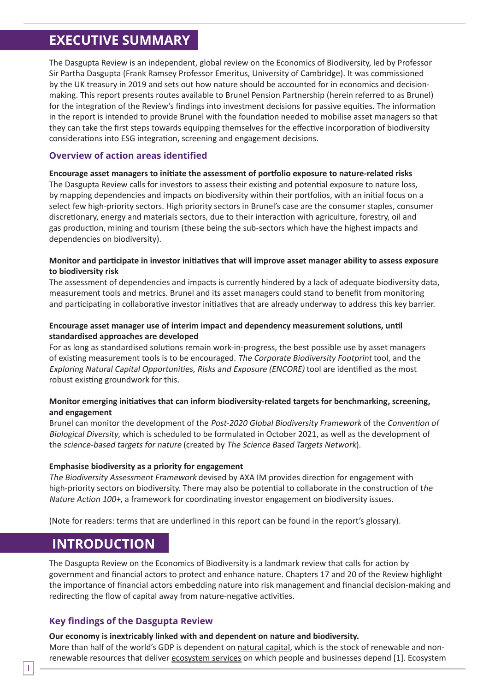# **EXECUTIVE SUMMARY**

The Dasgupta Review is an independent, global review on the Economics of Biodiversity, led by Professor Sir Partha Dasgupta (Frank Ramsey Professor Emeritus, University of Cambridge). It was commissioned by the UK treasury in 2019 and sets out how nature should be accounted for in economics and decisionmaking. This report presents routes available to Brunel Pension Partnership (herein referred to as Brunel) for the integration of the Review's findings into investment decisions for passive equities. The information in the report is intended to provide Brunel with the foundation needed to mobilise asset managers so that they can take the first steps towards equipping themselves for the effective incorporation of biodiversity considerations into ESG integration, screening and engagement decisions.

### **Overview of action areas identified**

**Encourage asset managers to initiate the assessment of portfolio exposure to nature-related risks** The Dasgupta Review calls for investors to assess their existing and potential exposure to nature loss, by mapping dependencies and impacts on biodiversity within their portfolios, with an initial focus on a select few high-priority sectors. High priority sectors in Brunel's case are the consumer staples, consumer discretionary, energy and materials sectors, due to their interaction with agriculture, forestry, oil and gas production, mining and tourism (these being the sub-sectors which have the highest impacts and dependencies on biodiversity).

### **Monitor and participate in investor initiatives that will improve asset manager ability to assess exposure to biodiversity risk**

The assessment of dependencies and impacts is currently hindered by a lack of adequate biodiversity data, measurement tools and metrics. Brunel and its asset managers could stand to benefit from monitoring and participating in collaborative investor initiatives that are already underway to address this key barrier.

### **Encourage asset manager use of interim impact and dependency measurement solutions, until standardised approaches are developed**

For as long as standardised solutions remain work-in-progress, the best possible use by asset managers of existing measurement tools is to be encouraged. The Corporate Biodiversity Footprint tool, and the Exploring Natural Capital Opportunities, Risks and Exposure (ENCORE) tool are identified as the most robust existing groundwork for this.

### **Monitor emerging initiatives that can inform biodiversity-related targets for benchmarking, screening, and engagement**

Brunel can monitor the development of the Post-2020 Global Biodiversity Framework of the Convention of Biological Diversity, which is scheduled to be formulated in October 2021, as well as the development of the science-based targets for nature (created by The Science Based Targets Network).

### **Emphasise biodiversity as a priority for engagement**

The Biodiversity Assessment Framework devised by AXA IM provides direction for engagement with high-priority sectors on biodiversity. There may also be potential to collaborate in the construction of the Nature Action 100+, a framework for coordinating investor engagement on biodiversity issues.

(Note for readers: terms that are underlined in this report can be found in the report's glossary).

### **INTRODUCTION**

The Dasgupta Review on the Economics of Biodiversity is a landmark review that calls for action by government and financial actors to protect and enhance nature. Chapters 17 and 20 of the Review highlight the importance of financial actors embedding nature into risk management and financial decision-making and redirecting the flow of capital away from nature-negative activities.

### **Key findings of the Dasgupta Review**

#### **Our economy is inextricably linked with and dependent on nature and biodiversity.**

More than half of the world's GDP is dependent on natural capital, which is the stock of renewable and nonrenewable resources that deliver ecosystem services on which people and businesses depend [1]. Ecosystem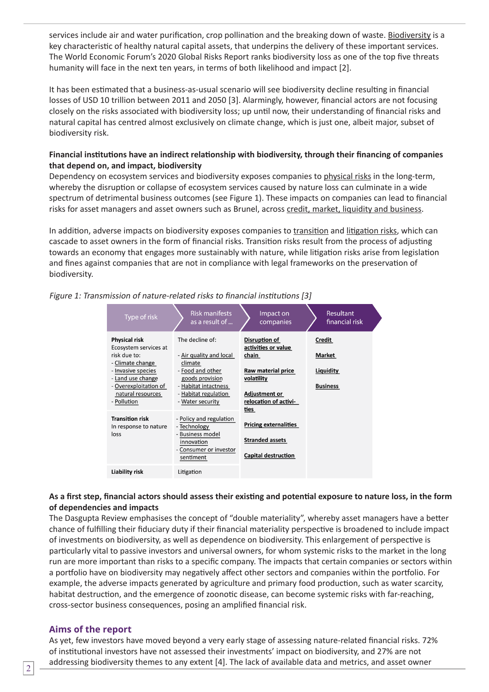services include air and water purification, crop pollination and the breaking down of waste. Biodiversity is a key characteristic of healthy natural capital assets, that underpins the delivery of these important services. The World Economic Forum's 2020 Global Risks Report ranks biodiversity loss as one of the top five threats humanity will face in the next ten years, in terms of both likelihood and impact [2].

It has been estimated that a business-as-usual scenario will see biodiversity decline resulting in financial losses of USD 10 trillion between 2011 and 2050 [3]. Alarmingly, however, financial actors are not focusing closely on the risks associated with biodiversity loss; up until now, their understanding of financial risks and natural capital has centred almost exclusively on climate change, which is just one, albeit major, subset of biodiversity risk.

### **Financial institutions have an indirect relationship with biodiversity, through their financing of companies that depend on, and impact, biodiversity**

Dependency on ecosystem services and biodiversity exposes companies to physical risks in the long-term, whereby the disruption or collapse of ecosystem services caused by nature loss can culminate in a wide spectrum of detrimental business outcomes (see Figure 1). These impacts on companies can lead to financial risks for asset managers and asset owners such as Brunel, across credit, market, liquidity and business.

In addition, adverse impacts on biodiversity exposes companies to transition and litigation risks, which can cascade to asset owners in the form of financial risks. Transition risks result from the process of adjusting towards an economy that engages more sustainably with nature, while litigation risks arise from legislation and fines against companies that are not in compliance with legal frameworks on the preservation of biodiversity.

| Type of risk                                                                                                                                                                              | <b>Risk manifests</b><br>as a result of                                                                                                                          | Impact on<br>companies                                                                                                             | <b>Resultant</b><br>financial risk               |  |
|-------------------------------------------------------------------------------------------------------------------------------------------------------------------------------------------|------------------------------------------------------------------------------------------------------------------------------------------------------------------|------------------------------------------------------------------------------------------------------------------------------------|--------------------------------------------------|--|
| <b>Physical risk</b><br>Ecosystem services at<br>risk due to:<br>- Climate change<br>- Invasive species<br>- Land use change<br>- Overexploitation of<br>natural resources<br>- Pollution | The decline of:<br>- Air quality and local<br>climate<br>- Food and other<br>goods provision<br>- Habitat intactness<br>- Habitat regulation<br>- Water security | Disruption of<br>activities or value<br>chain<br>Raw material price<br>volatility<br><b>Adjustment or</b><br>relocation of activi- | Credit<br>Market<br>Liquidity<br><b>Business</b> |  |
| <b>Transition risk</b><br>In response to nature<br>loss                                                                                                                                   | - Policy and regulation<br>- Technology<br>- Business model<br>innovation<br>- Consumer or investor<br>sentiment                                                 | ties<br><b>Pricing externalities</b><br><b>Stranded assets</b><br><b>Capital destruction</b>                                       |                                                  |  |
| Liability risk                                                                                                                                                                            | Litigation                                                                                                                                                       |                                                                                                                                    |                                                  |  |

Figure 1: Transmission of nature-related risks to financial institutions [3]

### **As a first step, financial actors should assess their existing and potential exposure to nature loss, in the form of dependencies and impacts**

The Dasgupta Review emphasises the concept of "double materiality", whereby asset managers have a better chance of fulfilling their fiduciary duty if their financial materiality perspective is broadened to include impact of investments on biodiversity, as well as dependence on biodiversity. This enlargement of perspective is particularly vital to passive investors and universal owners, for whom systemic risks to the market in the long run are more important than risks to a specific company. The impacts that certain companies or sectors within a portfolio have on biodiversity may negatively affect other sectors and companies within the portfolio. For example, the adverse impacts generated by agriculture and primary food production, such as water scarcity, habitat destruction, and the emergence of zoonotic disease, can become systemic risks with far-reaching, cross-sector business consequences, posing an amplified financial risk.

### **Aims of the report**

As yet, few investors have moved beyond a very early stage of assessing nature-related financial risks. 72% of institutional investors have not assessed their investments' impact on biodiversity, and 27% are not addressing biodiversity themes to any extent [4]. The lack of available data and metrics, and asset owner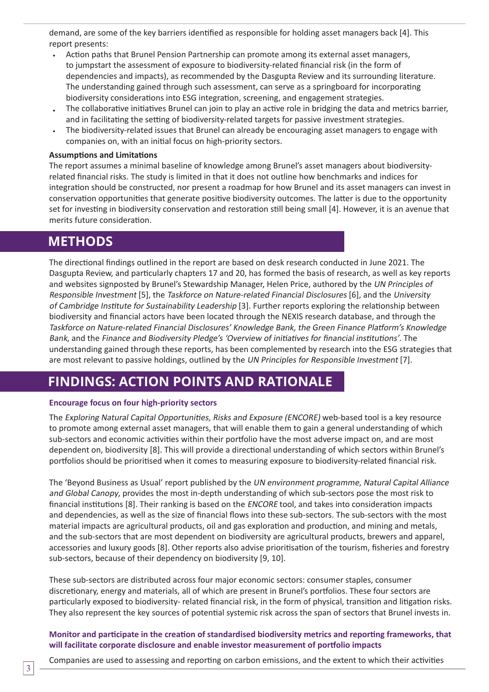demand, are some of the key barriers identified as responsible for holding asset managers back [4]. This report presents:

- Action paths that Brunel Pension Partnership can promote among its external asset managers, to jumpstart the assessment of exposure to biodiversity-related financial risk (in the form of dependencies and impacts), as recommended by the Dasgupta Review and its surrounding literature. The understanding gained through such assessment, can serve as a springboard for incorporating biodiversity considerations into ESG integration, screening, and engagement strategies.
- The collaborative initiatives Brunel can join to play an active role in bridging the data and metrics barrier, and in facilitating the setting of biodiversity-related targets for passive investment strategies.
- The biodiversity-related issues that Brunel can already be encouraging asset managers to engage with companies on, with an initial focus on high-priority sectors.

#### **Assumptions and Limitations**

The report assumes a minimal baseline of knowledge among Brunel's asset managers about biodiversityrelated financial risks. The study is limited in that it does not outline how benchmarks and indices for integration should be constructed, nor present a roadmap for how Brunel and its asset managers can invest in conservation opportunities that generate positive biodiversity outcomes. The latter is due to the opportunity set for investing in biodiversity conservation and restoration still being small [4]. However, it is an avenue that merits future consideration.

### **METHODS**

The directional findings outlined in the report are based on desk research conducted in June 2021. The Dasgupta Review, and particularly chapters 17 and 20, has formed the basis of research, as well as key reports and websites signposted by Brunel's Stewardship Manager, Helen Price, authored by the UN Principles of Responsible Investment [5], the Taskforce on Nature-related Financial Disclosures [6], and the University of Cambridge Institute for Sustainability Leadership [3]. Further reports exploring the relationship between biodiversity and financial actors have been located through the NEXIS research database, and through the Taskforce on Nature-related Financial Disclosures' Knowledge Bank, the Green Finance Platform's Knowledge Bank, and the Finance and Biodiversity Pledge's 'Overview of initiatives for financial institutions'. The understanding gained through these reports, has been complemented by research into the ESG strategies that are most relevant to passive holdings, outlined by the UN Principles for Responsible Investment [7].

### **FINDINGS: ACTION POINTS AND RATIONALE**

#### **Encourage focus on four high-priority sectors**

The Exploring Natural Capital Opportunities, Risks and Exposure (ENCORE) web-based tool is a key resource to promote among external asset managers, that will enable them to gain a general understanding of which sub-sectors and economic activities within their portfolio have the most adverse impact on, and are most dependent on, biodiversity [8]. This will provide a directional understanding of which sectors within Brunel's portfolios should be prioritised when it comes to measuring exposure to biodiversity-related financial risk.

The 'Beyond Business as Usual' report published by the UN environment programme, Natural Capital Alliance and Global Canopy, provides the most in-depth understanding of which sub-sectors pose the most risk to financial institutions [8]. Their ranking is based on the ENCORE tool, and takes into consideration impacts and dependencies, as well as the size of financial flows into these sub-sectors. The sub-sectors with the most material impacts are agricultural products, oil and gas exploration and production, and mining and metals, and the sub-sectors that are most dependent on biodiversity are agricultural products, brewers and apparel, accessories and luxury goods [8]. Other reports also advise prioritisation of the tourism, fisheries and forestry sub-sectors, because of their dependency on biodiversity [9, 10].

These sub-sectors are distributed across four major economic sectors: consumer staples, consumer discretionary, energy and materials, all of which are present in Brunel's portfolios. These four sectors are particularly exposed to biodiversity- related financial risk, in the form of physical, transition and litigation risks. They also represent the key sources of potential systemic risk across the span of sectors that Brunel invests in.

**Monitor and participate in the creation of standardised biodiversity metrics and reporting frameworks, that will facilitate corporate disclosure and enable investor measurement of portfolio impacts**

Companies are used to assessing and reporting on carbon emissions, and the extent to which their activities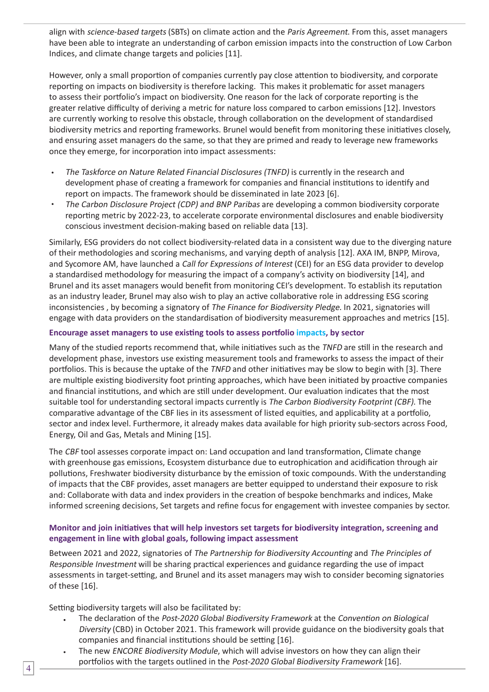align with science-based targets (SBTs) on climate action and the Paris Agreement. From this, asset managers have been able to integrate an understanding of carbon emission impacts into the construction of Low Carbon Indices, and climate change targets and policies [11].

However, only a small proportion of companies currently pay close attention to biodiversity, and corporate reporting on impacts on biodiversity is therefore lacking. This makes it problematic for asset managers to assess their portfolio's impact on biodiversity. One reason for the lack of corporate reporting is the greater relative difficulty of deriving a metric for nature loss compared to carbon emissions [12]. Investors are currently working to resolve this obstacle, through collaboration on the development of standardised biodiversity metrics and reporting frameworks. Brunel would benefit from monitoring these initiatives closely, and ensuring asset managers do the same, so that they are primed and ready to leverage new frameworks once they emerge, for incorporation into impact assessments:

- The Taskforce on Nature Related Financial Disclosures (TNFD) is currently in the research and development phase of creating a framework for companies and financial institutions to identify and report on impacts. The framework should be disseminated in late 2023 [6].
- The Carbon Disclosure Project (CDP) and BNP Paribas are developing a common biodiversity corporate reporting metric by 2022-23, to accelerate corporate environmental disclosures and enable biodiversity conscious investment decision-making based on reliable data [13].

Similarly, ESG providers do not collect biodiversity-related data in a consistent way due to the diverging nature of their methodologies and scoring mechanisms, and varying depth of analysis [12]. AXA IM, BNPP, Mirova, and Sycomore AM, have launched a Call for Expressions of Interest (CEI) for an ESG data provider to develop a standardised methodology for measuring the impact of a company's activity on biodiversity [14], and Brunel and its asset managers would benefit from monitoring CEI's development. To establish its reputation as an industry leader, Brunel may also wish to play an active collaborative role in addressing ESG scoring inconsistencies , by becoming a signatory of The Finance for Biodiversity Pledge. In 2021, signatories will engage with data providers on the standardisation of biodiversity measurement approaches and metrics [15].

### **Encourage asset managers to use existing tools to assess portfolio impacts, by sector**

Many of the studied reports recommend that, while initiatives such as the TNFD are still in the research and development phase, investors use existing measurement tools and frameworks to assess the impact of their portfolios. This is because the uptake of the TNFD and other initiatives may be slow to begin with [3]. There are multiple existing biodiversity foot printing approaches, which have been initiated by proactive companies and financial institutions, and which are still under development. Our evaluation indicates that the most suitable tool for understanding sectoral impacts currently is The Carbon Biodiversity Footprint (CBF). The comparative advantage of the CBF lies in its assessment of listed equities, and applicability at a portfolio, sector and index level. Furthermore, it already makes data available for high priority sub-sectors across Food, Energy, Oil and Gas, Metals and Mining [15].

The CBF tool assesses corporate impact on: Land occupation and land transformation, Climate change with greenhouse gas emissions, Ecosystem disturbance due to eutrophication and acidification through air pollutions, Freshwater biodiversity disturbance by the emission of toxic compounds. With the understanding of impacts that the CBF provides, asset managers are better equipped to understand their exposure to risk and: Collaborate with data and index providers in the creation of bespoke benchmarks and indices, Make informed screening decisions, Set targets and refine focus for engagement with investee companies by sector.

### **Monitor and join initiatives that will help investors set targets for biodiversity integration, screening and engagement in line with global goals, following impact assessment**

Between 2021 and 2022, signatories of The Partnership for Biodiversity Accounting and The Principles of Responsible Investment will be sharing practical experiences and guidance regarding the use of impact assessments in target-setting, and Brunel and its asset managers may wish to consider becoming signatories of these [16].

Setting biodiversity targets will also be facilitated by:

- The declaration of the Post-2020 Global Biodiversity Framework at the Convention on Biological Diversity (CBD) in October 2021. This framework will provide guidance on the biodiversity goals that companies and financial institutions should be setting [16].
- The new ENCORE Biodiversity Module, which will advise investors on how they can align their portfolios with the targets outlined in the Post-2020 Global Biodiversity Framework [16].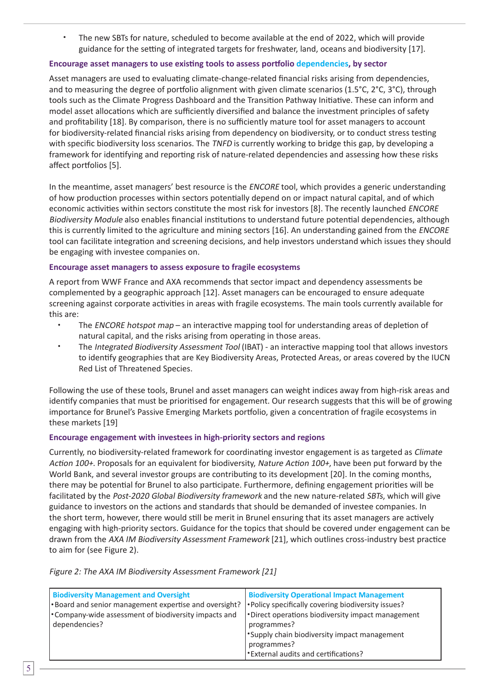The new SBTs for nature, scheduled to become available at the end of 2022, which will provide guidance for the setting of integrated targets for freshwater, land, oceans and biodiversity [17].

#### **Encourage asset managers to use existing tools to assess portfolio dependencies, by sector**

Asset managers are used to evaluating climate-change-related financial risks arising from dependencies, and to measuring the degree of portfolio alignment with given climate scenarios (1.5°C, 2°C, 3°C), through tools such as the Climate Progress Dashboard and the Transition Pathway Initiative. These can inform and model asset allocations which are sufficiently diversified and balance the investment principles of safety and profitability [18]. By comparison, there is no sufficiently mature tool for asset managers to account for biodiversity-related financial risks arising from dependency on biodiversity, or to conduct stress testing with specific biodiversity loss scenarios. The TNFD is currently working to bridge this gap, by developing a framework for identifying and reporting risk of nature-related dependencies and assessing how these risks affect portfolios [5].

In the meantime, asset managers' best resource is the ENCORE tool, which provides a generic understanding of how production processes within sectors potentially depend on or impact natural capital, and of which economic activities within sectors constitute the most risk for investors [8]. The recently launched ENCORE Biodiversity Module also enables financial institutions to understand future potential dependencies, although this is currently limited to the agriculture and mining sectors [16]. An understanding gained from the ENCORE tool can facilitate integration and screening decisions, and help investors understand which issues they should be engaging with investee companies on.

#### **Encourage asset managers to assess exposure to fragile ecosystems**

A report from WWF France and AXA recommends that sector impact and dependency assessments be complemented by a geographic approach [12]. Asset managers can be encouraged to ensure adequate screening against corporate activities in areas with fragile ecosystems. The main tools currently available for this are:

- The ENCORE hotspot map an interactive mapping tool for understanding areas of depletion of natural capital, and the risks arising from operating in those areas.
- The Integrated Biodiversity Assessment Tool (IBAT) an interactive mapping tool that allows investors to identify geographies that are Key Biodiversity Areas, Protected Areas, or areas covered by the IUCN Red List of Threatened Species.

Following the use of these tools, Brunel and asset managers can weight indices away from high-risk areas and identify companies that must be prioritised for engagement. Our research suggests that this will be of growing importance for Brunel's Passive Emerging Markets portfolio, given a concentration of fragile ecosystems in these markets [19]

#### **Encourage engagement with investees in high-priority sectors and regions**

Currently, no biodiversity-related framework for coordinating investor engagement is as targeted as Climate Action 100+. Proposals for an equivalent for biodiversity, Nature Action 100+, have been put forward by the World Bank, and several investor groups are contributing to its development [20]. In the coming months, there may be potential for Brunel to also participate. Furthermore, defining engagement priorities will be facilitated by the Post-2020 Global Biodiversity framework and the new nature-related SBTs, which will give guidance to investors on the actions and standards that should be demanded of investee companies. In the short term, however, there would still be merit in Brunel ensuring that its asset managers are actively engaging with high-priority sectors. Guidance for the topics that should be covered under engagement can be drawn from the AXA IM Biodiversity Assessment Framework [21], which outlines cross-industry best practice to aim for (see Figure 2).

| <b>Biodiversity Management and Oversight</b><br>•Board and senior management expertise and oversight?<br><b>Company-wide assessment of biodiversity impacts and</b><br>dependencies? | <b>Biodiversity Operational Impact Management</b><br> • Policy specifically covering biodiversity issues?<br>•Direct operations biodiversity impact management<br>programmes?<br>Supply chain biodiversity impact management |
|--------------------------------------------------------------------------------------------------------------------------------------------------------------------------------------|------------------------------------------------------------------------------------------------------------------------------------------------------------------------------------------------------------------------------|
|                                                                                                                                                                                      | programmes?                                                                                                                                                                                                                  |
|                                                                                                                                                                                      | l *External audits and certifications?                                                                                                                                                                                       |

Figure 2: The AXA IM Biodiversity Assessment Framework [21]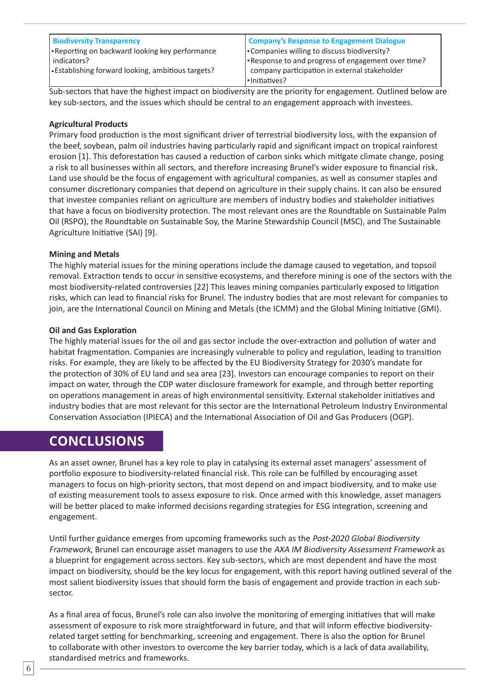| <b>Biodiversity Transparency</b>                         | <b>Company's Response to Engagement Dialogue</b> |  |
|----------------------------------------------------------|--------------------------------------------------|--|
| •Reporting on backward looking key performance           | • Companies willing to discuss biodiversity?     |  |
| indicators?                                              | <b>Printed Progress</b> of engagement over time? |  |
| $\cdot$ Establishing forward looking, ambitious targets? | company participation in external stakeholder    |  |
|                                                          | l·Initiatives?                                   |  |

Sub-sectors that have the highest impact on biodiversity are the priority for engagement. Outlined below are key sub-sectors, and the issues which should be central to an engagement approach with investees.

### **Agricultural Products**

Primary food production is the most significant driver of terrestrial biodiversity loss, with the expansion of the beef, soybean, palm oil industries having particularly rapid and significant impact on tropical rainforest erosion [1]. This deforestation has caused a reduction of carbon sinks which mitigate climate change, posing a risk to all businesses within all sectors, and therefore increasing Brunel's wider exposure to financial risk. Land use should be the focus of engagement with agricultural companies, as well as consumer staples and consumer discretionary companies that depend on agriculture in their supply chains. It can also be ensured that investee companies reliant on agriculture are members of industry bodies and stakeholder initiatives that have a focus on biodiversity protection. The most relevant ones are the Roundtable on Sustainable Palm Oil (RSPO), the Roundtable on Sustainable Soy, the Marine Stewardship Council (MSC), and The Sustainable Agriculture Initiative (SAI) [9].

### **Mining and Metals**

The highly material issues for the mining operations include the damage caused to vegetation, and topsoil removal. Extraction tends to occur in sensitive ecosystems, and therefore mining is one of the sectors with the most biodiversity-related controversies [22] This leaves mining companies particularly exposed to litigation risks, which can lead to financial risks for Brunel. The industry bodies that are most relevant for companies to join, are the International Council on Mining and Metals (the ICMM) and the Global Mining Initiative (GMI).

### **Oil and Gas Exploration**

The highly material issues for the oil and gas sector include the over-extraction and pollution of water and habitat fragmentation. Companies are increasingly vulnerable to policy and regulation, leading to transition risks. For example, they are likely to be affected by the EU Biodiversity Strategy for 2030's mandate for the protection of 30% of EU land and sea area [23]. Investors can encourage companies to report on their impact on water, through the CDP water disclosure framework for example, and through better reporting on operations management in areas of high environmental sensitivity. External stakeholder initiatives and industry bodies that are most relevant for this sector are the International Petroleum Industry Environmental Conservation Association (IPIECA) and the International Association of Oil and Gas Producers (OGP).

### **CONCLUSIONS**

As an asset owner, Brunel has a key role to play in catalysing its external asset managers' assessment of portfolio exposure to biodiversity-related financial risk. This role can be fulfilled by encouraging asset managers to focus on high-priority sectors, that most depend on and impact biodiversity, and to make use of existing measurement tools to assess exposure to risk. Once armed with this knowledge, asset managers will be better placed to make informed decisions regarding strategies for ESG integration, screening and engagement.

Until further guidance emerges from upcoming frameworks such as the Post-2020 Global Biodiversity Framework, Brunel can encourage asset managers to use the AXA IM Biodiversity Assessment Framework as a blueprint for engagement across sectors. Key sub-sectors, which are most dependent and have the most impact on biodiversity, should be the key locus for engagement, with this report having outlined several of the most salient biodiversity issues that should form the basis of engagement and provide traction in each subsector.

As a final area of focus, Brunel's role can also involve the monitoring of emerging initiatives that will make assessment of exposure to risk more straightforward in future, and that will inform effective biodiversityrelated target setting for benchmarking, screening and engagement. There is also the option for Brunel to collaborate with other investors to overcome the key barrier today, which is a lack of data availability, standardised metrics and frameworks.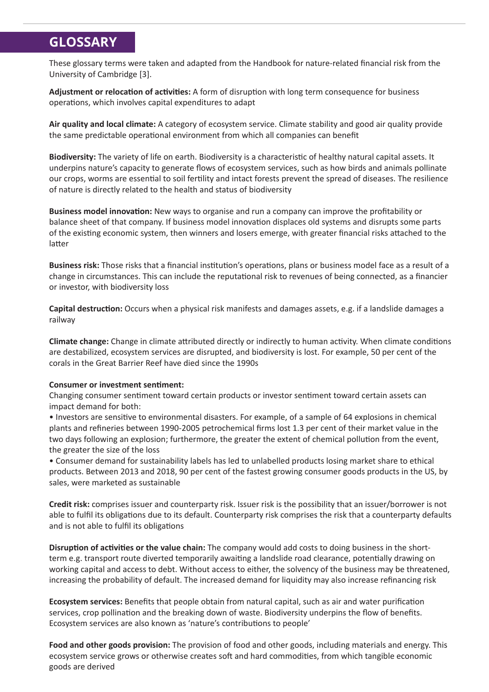# **GLOSSARY**

These glossary terms were taken and adapted from the Handbook for nature-related financial risk from the University of Cambridge [3].

**Adjustment or relocation of activities:** A form of disruption with long term consequence for business operations, which involves capital expenditures to adapt

**Air quality and local climate:** A category of ecosystem service. Climate stability and good air quality provide the same predictable operational environment from which all companies can benefit

**Biodiversity:** The variety of life on earth. Biodiversity is a characteristic of healthy natural capital assets. It underpins nature's capacity to generate flows of ecosystem services, such as how birds and animals pollinate our crops, worms are essential to soil fertility and intact forests prevent the spread of diseases. The resilience of nature is directly related to the health and status of biodiversity

**Business model innovation:** New ways to organise and run a company can improve the profitability or balance sheet of that company. If business model innovation displaces old systems and disrupts some parts of the existing economic system, then winners and losers emerge, with greater financial risks attached to the latter

**Business risk:** Those risks that a financial institution's operations, plans or business model face as a result of a change in circumstances. This can include the reputational risk to revenues of being connected, as a financier or investor, with biodiversity loss

**Capital destruction:** Occurs when a physical risk manifests and damages assets, e.g. if a landslide damages a railway

**Climate change:** Change in climate attributed directly or indirectly to human activity. When climate conditions are destabilized, ecosystem services are disrupted, and biodiversity is lost. For example, 50 per cent of the corals in the Great Barrier Reef have died since the 1990s

#### **Consumer or investment sentiment:**

Changing consumer sentiment toward certain products or investor sentiment toward certain assets can impact demand for both:

• Investors are sensitive to environmental disasters. For example, of a sample of 64 explosions in chemical plants and refineries between 1990-2005 petrochemical firms lost 1.3 per cent of their market value in the two days following an explosion; furthermore, the greater the extent of chemical pollution from the event, the greater the size of the loss

• Consumer demand for sustainability labels has led to unlabelled products losing market share to ethical products. Between 2013 and 2018, 90 per cent of the fastest growing consumer goods products in the US, by sales, were marketed as sustainable

**Credit risk:** comprises issuer and counterparty risk. Issuer risk is the possibility that an issuer/borrower is not able to fulfil its obligations due to its default. Counterparty risk comprises the risk that a counterparty defaults and is not able to fulfil its obligations

**Disruption of activities or the value chain:** The company would add costs to doing business in the shortterm e.g. transport route diverted temporarily awaiting a landslide road clearance, potentially drawing on working capital and access to debt. Without access to either, the solvency of the business may be threatened, increasing the probability of default. The increased demand for liquidity may also increase refinancing risk

**Ecosystem services:** Benefits that people obtain from natural capital, such as air and water purification services, crop pollination and the breaking down of waste. Biodiversity underpins the flow of benefits. Ecosystem services are also known as 'nature's contributions to people'

**Food and other goods provision:** The provision of food and other goods, including materials and energy. This ecosystem service grows or otherwise creates soft and hard commodities, from which tangible economic goods are derived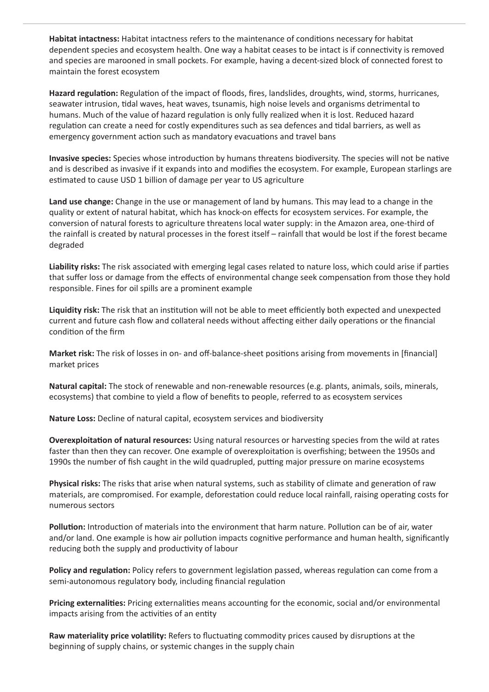**Habitat intactness:** Habitat intactness refers to the maintenance of conditions necessary for habitat dependent species and ecosystem health. One way a habitat ceases to be intact is if connectivity is removed and species are marooned in small pockets. For example, having a decent-sized block of connected forest to maintain the forest ecosystem

**Hazard regulation:** Regulation of the impact of floods, fires, landslides, droughts, wind, storms, hurricanes, seawater intrusion, tidal waves, heat waves, tsunamis, high noise levels and organisms detrimental to humans. Much of the value of hazard regulation is only fully realized when it is lost. Reduced hazard regulation can create a need for costly expenditures such as sea defences and tidal barriers, as well as emergency government action such as mandatory evacuations and travel bans

**Invasive species:** Species whose introduction by humans threatens biodiversity. The species will not be native and is described as invasive if it expands into and modifies the ecosystem. For example, European starlings are estimated to cause USD 1 billion of damage per year to US agriculture

**Land use change:** Change in the use or management of land by humans. This may lead to a change in the quality or extent of natural habitat, which has knock-on effects for ecosystem services. For example, the conversion of natural forests to agriculture threatens local water supply: in the Amazon area, one-third of the rainfall is created by natural processes in the forest itself – rainfall that would be lost if the forest became degraded

**Liability risks:** The risk associated with emerging legal cases related to nature loss, which could arise if parties that suffer loss or damage from the effects of environmental change seek compensation from those they hold responsible. Fines for oil spills are a prominent example

**Liquidity risk:** The risk that an institution will not be able to meet efficiently both expected and unexpected current and future cash flow and collateral needs without affecting either daily operations or the financial condition of the firm

**Market risk:** The risk of losses in on- and off-balance-sheet positions arising from movements in [financial] market prices

**Natural capital:** The stock of renewable and non-renewable resources (e.g. plants, animals, soils, minerals, ecosystems) that combine to yield a flow of benefits to people, referred to as ecosystem services

**Nature Loss:** Decline of natural capital, ecosystem services and biodiversity

**Overexploitation of natural resources:** Using natural resources or harvesting species from the wild at rates faster than then they can recover. One example of overexploitation is overfishing; between the 1950s and 1990s the number of fish caught in the wild quadrupled, putting major pressure on marine ecosystems

**Physical risks:** The risks that arise when natural systems, such as stability of climate and generation of raw materials, are compromised. For example, deforestation could reduce local rainfall, raising operating costs for numerous sectors

**Pollution:** Introduction of materials into the environment that harm nature. Pollution can be of air, water and/or land. One example is how air pollution impacts cognitive performance and human health, significantly reducing both the supply and productivity of labour

**Policy and regulation:** Policy refers to government legislation passed, whereas regulation can come from a semi-autonomous regulatory body, including financial regulation

**Pricing externalities:** Pricing externalities means accounting for the economic, social and/or environmental impacts arising from the activities of an entity

**Raw materiality price volatility:** Refers to fluctuating commodity prices caused by disruptions at the beginning of supply chains, or systemic changes in the supply chain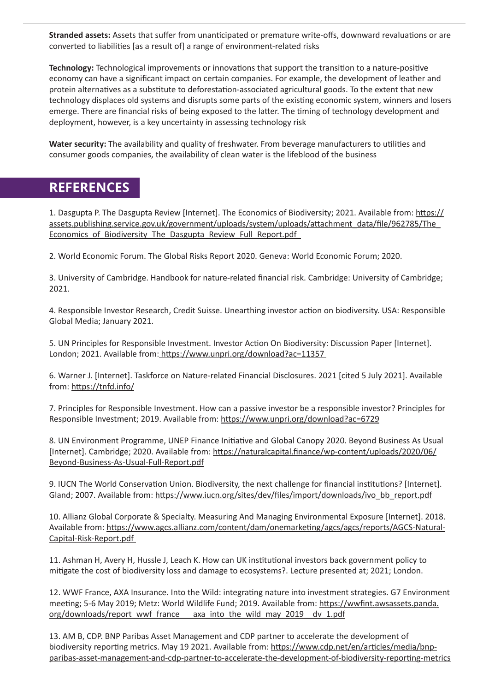**Stranded assets:** Assets that suffer from unanticipated or premature write-offs, downward revaluations or are converted to liabilities [as a result of] a range of environment-related risks

**Technology:** Technological improvements or innovations that support the transition to a nature-positive economy can have a significant impact on certain companies. For example, the development of leather and protein alternatives as a substitute to deforestation-associated agricultural goods. To the extent that new technology displaces old systems and disrupts some parts of the existing economic system, winners and losers emerge. There are financial risks of being exposed to the latter. The timing of technology development and deployment, however, is a key uncertainty in assessing technology risk

**Water security:** The availability and quality of freshwater. From beverage manufacturers to utilities and consumer goods companies, the availability of clean water is the lifeblood of the business

# **REFERENCES**

1. Dasgupta P. The Dasgupta Review [Internet]. The Economics of Biodiversity; 2021. Available from: https:// assets.publishing.service.gov.uk/government/uploads/system/uploads/attachment\_data/file/962785/The\_ Economics of Biodiversity The Dasgupta Review Full Report.pdf

2. World Economic Forum. The Global Risks Report 2020. Geneva: World Economic Forum; 2020.

3. University of Cambridge. Handbook for nature-related financial risk. Cambridge: University of Cambridge; 2021.

4. Responsible Investor Research, Credit Suisse. Unearthing investor action on biodiversity. USA: Responsible Global Media; January 2021.

5. UN Principles for Responsible Investment. Investor Action On Biodiversity: Discussion Paper [Internet]. London; 2021. Available from: https://www.unpri.org/download?ac=11357

6. Warner J. [Internet]. Taskforce on Nature-related Financial Disclosures. 2021 [cited 5 July 2021]. Available from: https://tnfd.info/

7. Principles for Responsible Investment. How can a passive investor be a responsible investor? Principles for Responsible Investment; 2019. Available from: https://www.unpri.org/download?ac=6729

8. UN Environment Programme, UNEP Finance Initiative and Global Canopy 2020. Beyond Business As Usual [Internet]. Cambridge; 2020. Available from: https://naturalcapital.finance/wp-content/uploads/2020/06/ Beyond-Business-As-Usual-Full-Report.pdf

9. IUCN The World Conservation Union. Biodiversity, the next challenge for financial institutions? [Internet]. Gland; 2007. Available from: https://www.iucn.org/sites/dev/files/import/downloads/ivo\_bb\_report.pdf

10. Allianz Global Corporate & Specialty. Measuring And Managing Environmental Exposure [Internet]. 2018. Available from: https://www.agcs.allianz.com/content/dam/onemarketing/agcs/agcs/reports/AGCS-Natural-Capital-Risk-Report.pdf

11. Ashman H, Avery H, Hussle J, Leach K. How can UK institutional investors back government policy to mitigate the cost of biodiversity loss and damage to ecosystems?. Lecture presented at; 2021; London.

12. WWF France, AXA Insurance. Into the Wild: integrating nature into investment strategies. G7 Environment meeting; 5-6 May 2019; Metz: World Wildlife Fund; 2019. Available from: https://wwfint.awsassets.panda. org/downloads/report\_wwf\_france\_\_\_axa\_into\_the\_wild\_may\_2019\_\_dv\_1.pdf

13. AM B, CDP. BNP Paribas Asset Management and CDP partner to accelerate the development of biodiversity reporting metrics. May 19 2021. Available from: https://www.cdp.net/en/articles/media/bnpparibas-asset-management-and-cdp-partner-to-accelerate-the-development-of-biodiversity-reporting-metrics